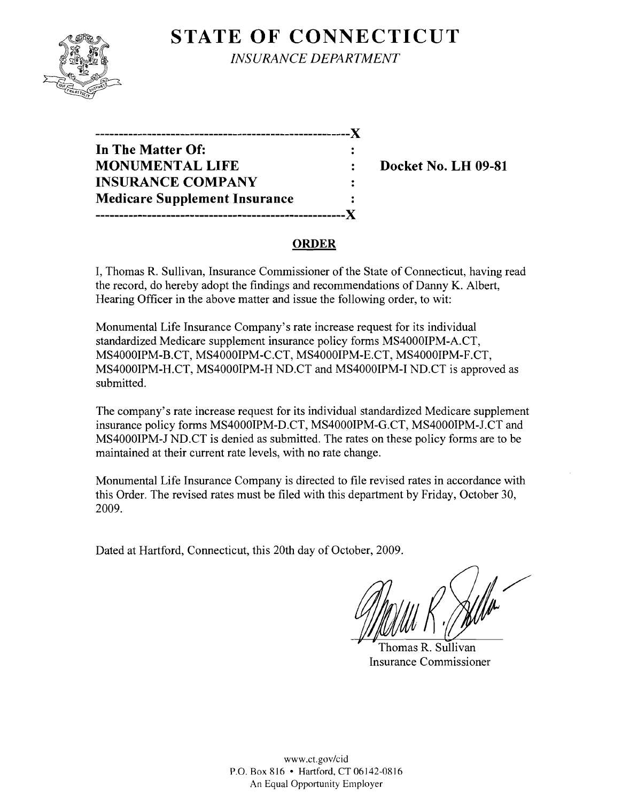

**STATE OF CONNECTICUT** *INSURANCE DEPARTMENT* 

| --------------                       |  |
|--------------------------------------|--|
| In The Matter Of:                    |  |
| <b>MONUMENTAL LIFE</b>               |  |
| <b>INSURANCE COMPANY</b>             |  |
| <b>Medicare Supplement Insurance</b> |  |
| ,,,,,,,,,,,,,,,,,,,,,,,,,,,,,,       |  |

**Docket No. LH 09-81** 

# **ORDER**

I, Thomas R. Sullivan, Insurance Commissioner of the State of Connecticut, having read the record, do hereby adopt the findings and recommendations of Danny K. Albert, Hearing Officer in the above matter and issue the following order, to wit:

Monumental Life Insurance Company's rate increase request for its individual standardized Medicare supplement insurance policy forms MS4000IPM-A.CT, MS4000IPM-B.CT, MS4000IPM-C.CT, MS4000IPM-E.CT, MS4000IPM-F.CT, MS4000IPM-H.CT, MS4000IPM-H ND.CT and MS4000IPM-I ND.CT is approved as submitted.

The company's rate increase request for its individual standardized Medicare supplement insurance policy forms MS4000IPM-D.CT, MS4000IPM-G.CT, MS4000IPM-J.CT and MS4000IPM-J ND.CT is denied as submitted. The rates on these policy forms are to be maintained at their current rate levels, with no rate change.

Monumental Life Insurance Company is directed to file revised rates in accordance with this Order. The revised rates must be filed with this department by Friday, October 30, 2009.

Dated at Hartford, Connecticut, this 20th day of October, 2009.

Thomas R. Sullivan Insurance Commissioner

www.ct.gov/cid P.O. Box 816 • Hartford, CT 06142-0816 An Equal Opportunity Employer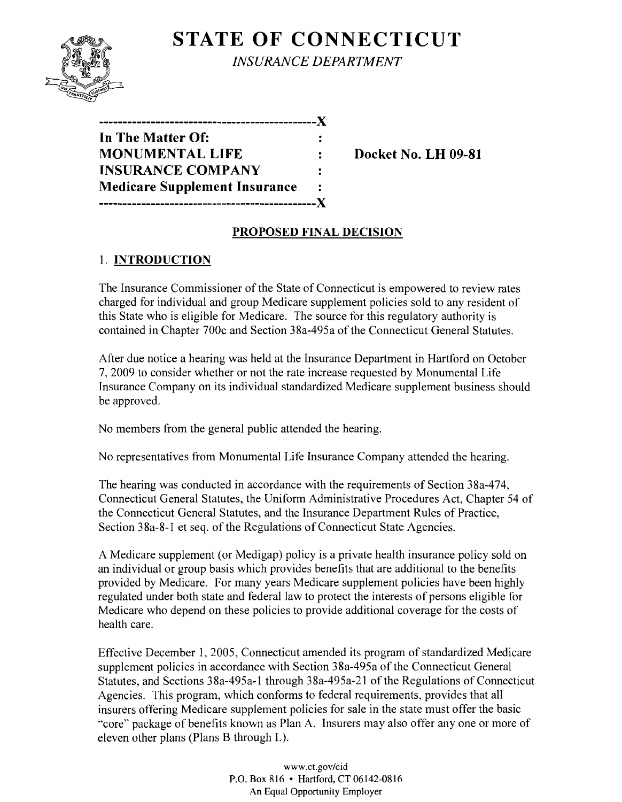

**STATE OF CONNECTICUT** *INSURANCE DEPARTMENT* 

| __________                           |  |
|--------------------------------------|--|
| In The Matter Of:                    |  |
| <b>MONUMENTAL LIFE</b>               |  |
| <b>INSURANCE COMPANY</b>             |  |
| <b>Medicare Supplement Insurance</b> |  |
|                                      |  |

**Docket No. LH 09-81** 

# **PROPOSED FINAL DECISION**

### 1. **INTRODUCTION**

The Insurance Commissioner of the State of Connecticut is empowered to review rates charged for individual and group Medicare supplement policies sold to any resident of this State who is eligible for Medicare. The source for this regulatory authority is contained in Chapter 700c and Section 38a-495a of the Connecticut General Statutes.

After due notice a hearing was held at the Insurance Department in Hartford on October 7,2009 to consider whether or not the rate increase requested by Monumental Life Insurance Company on its individual standardized Medicare supplement business should be approved.

No members from the general public attended the hearing.

No representatives from Monumental Life Insurance Company attended the hearing.

The hearing was conducted in accordance with the requirements of Section 38a-474, Connecticut General Statutes, the Uniform Administrative Procedures Act, Chapter 54 of the Connecticut General Statutes, and the Insurance Department Rules of Practice, Section 38a-8-1 et seq. of the Regulations of Connecticut State Agencies.

A Medicare supplement (or Medigap) policy is a private health insurance policy sold on an individual or group basis which provides benefits that are additional to the benefits provided by Medicare. For many years Medicare supplement policies have been highly regulated under both state and federal law to protect the interests of persons eligible for Medicare who depend on these policies to provide additional coverage for the costs of health care.

Effective December I, 2005, Connecticut amended its program of standardized Medicare supplement policies in accordance with Section 38a-495a of the Connecticut General Statutes, and Sections 38a-495a-1 through 38a-495a-21 of the Regulations of Connecticut Agencies. This program, which conforms to federal requirements, provides that all insurers offering Medicare supplement policies for sale in the state must offer the basic "core" package of benefits known as Plan A. Insurers may also offer anyone or more of eleven other plans (Plans B through L).

> www.ct.gov/cid P.O. Box 816 • Hartford, CT 06142-0816 An Equal Opportunity Employer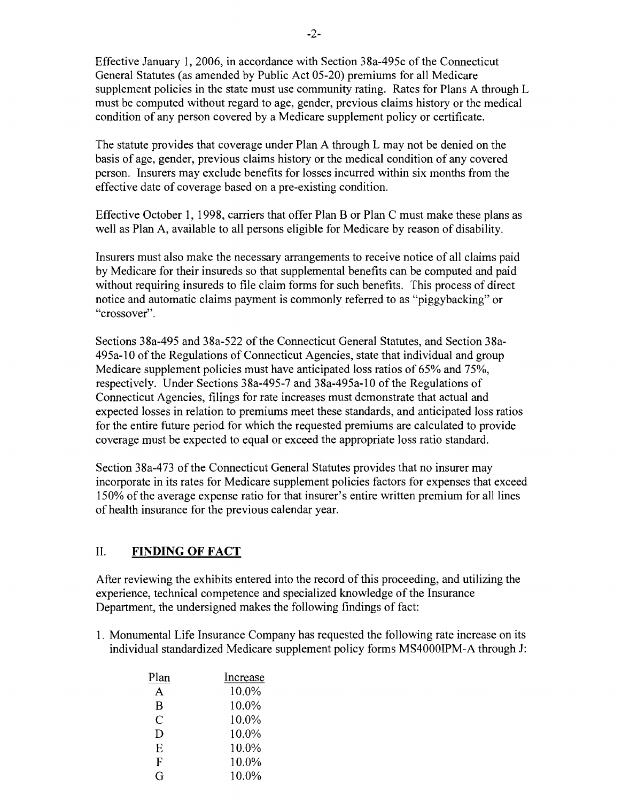Effective January 1, 2006, in accordance with Section 38a-495c of the Connecticut General Statutes (as amended by Public Act 05-20) premiums for all Medicare supplement policies in the state must use community rating. Rates for Plans A through L must be computed without regard to age, gender, previous claims history or the medical condition of any person covered by a Medicare supplement policy or certificate.

The statute provides that coverage under Plan A through L may not be denied on the basis of age, gender, previous claims history or the medical condition of any covered person. Insurers may exclude benefits for losses incurred within six months from the effective date of coverage based on a pre-existing condition.

Effective October 1, 1998, carriers that offer Plan B or Plan C must make these plans as well as Plan A, available to all persons eligible for Medicare by reason of disability.

Insurers must also make the necessary arrangements to receive notice of all claims paid by Medicare for their insureds so that supplemental benefits can be computed and paid without requiring insureds to file claim forms for such benefits. This process of direct notice and automatic claims payment is commonly referred to as "piggybacking" or "crossover".

Sections 38a-495 and 38a-522 of the Connecticut General Statutes, and Section 38a-495a-10 ofthe Regulations of Connecticut Agencies, state that individual and group Medicare supplement policies must have anticipated loss ratios of 65% and 75%, respectively. Under Sections 38a-495-7 and 38a-495a-10 ofthe Regulations of Connecticut Agencies, filings for rate increases must demonstrate that actual and expected losses in relation to premiums meet these standards, and anticipated loss ratios for the entire future period for which the requested premiums are calculated to provide coverage must be expected to equal or exceed the appropriate loss ratio standard.

Section 38a-473 of the Connecticut General Statutes provides that no insurer may incorporate in its rates for Medicare supplement policies factors for expenses that exceed 150% of the average expense ratio for that insurer's entire written premium for all lines of health insurance for the previous calendar year.

### II. **FINDING OF FACT**

After reviewing the exhibits entered into the record ofthis proceeding, and utilizing the experience, technical competence and specialized knowledge of the Insurance Department, the undersigned makes the following findings of fact:

1. Monumental Life Insurance Company has requested the following rate increase on its individual standardized Medicare supplement policy forms MS4000IPM-A through J:

| Plan | Increase |
|------|----------|
| А    | 10.0%    |
| B    | 10.0%    |
| C    | 10.0%    |
| D    | 10.0%    |
| E    | 10.0%    |
| F    | 10.0%    |
|      | 10.0%    |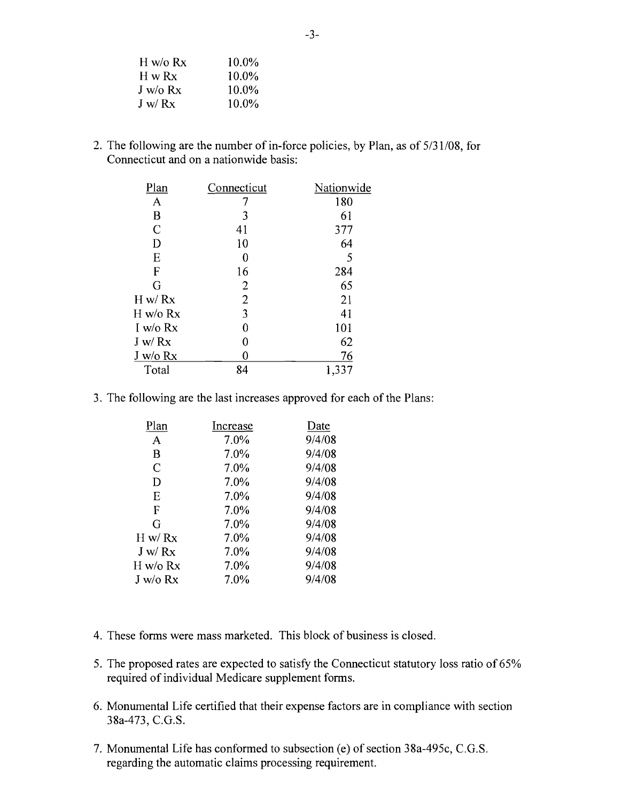| H w/o Rx                    | 10.0%    |
|-----------------------------|----------|
| $H \mathbf{w} R \mathbf{x}$ | $10.0\%$ |
| $J$ w/o $Rx$                | 10.0%    |
| J w/Rx                      | $10.0\%$ |

2. The following are the number of in-force policies, by Plan, as of 5/31/08, for Connecticut and on a nationwide basis:

| Plan          | Connecticut    | Nationwide |
|---------------|----------------|------------|
| A             |                | 180        |
| B             | 3              | 61         |
| $\mathcal{C}$ | 41             | 377        |
| D             | 10             | 64         |
| E             |                | 5          |
| F             | 16             | 284        |
| G             | 2              | 65         |
| H w/Rx        | $\overline{2}$ | 21         |
| H w/o Rx      | 3              | 41         |
| I w/o $Rx$    |                | 101        |
| J w/Rx        | 0              | 62         |
| J w/o Rx      |                | 76         |
| Total         | 84             | 1,337      |

3. The following are the last increases approved for each of the Plans:

| Plan         | Increase | Date   |
|--------------|----------|--------|
| A            | 7.0%     | 9/4/08 |
| B            | $7.0\%$  | 9/4/08 |
| C            | 7.0%     | 9/4/08 |
| D            | 7.0%     | 9/4/08 |
| Е            | 7.0%     | 9/4/08 |
| F            | 7.0%     | 9/4/08 |
| G            | 7.0%     | 9/4/08 |
| H w/Rx       | 7.0%     | 9/4/08 |
| J w/Rx       | 7.0%     | 9/4/08 |
| H w/o Rx     | 7.0%     | 9/4/08 |
| $J$ w/o $Rx$ | 7.0%     | 9/4/08 |
|              |          |        |

- 4. These forms were mass marketed. This block of business is closed.
- 5. The proposed rates are expected to satisfy the Connecticut statutory loss ratio of 65% required of individual Medicare supplement forms.
- 6. Monumental Life certified that their expense factors are in compliance with section 38a-473, C.G.S.
- 7. Monumental Life has conformed to subsection (e) of section 38a-495c, C.G.S. regarding the automatic claims processing requirement.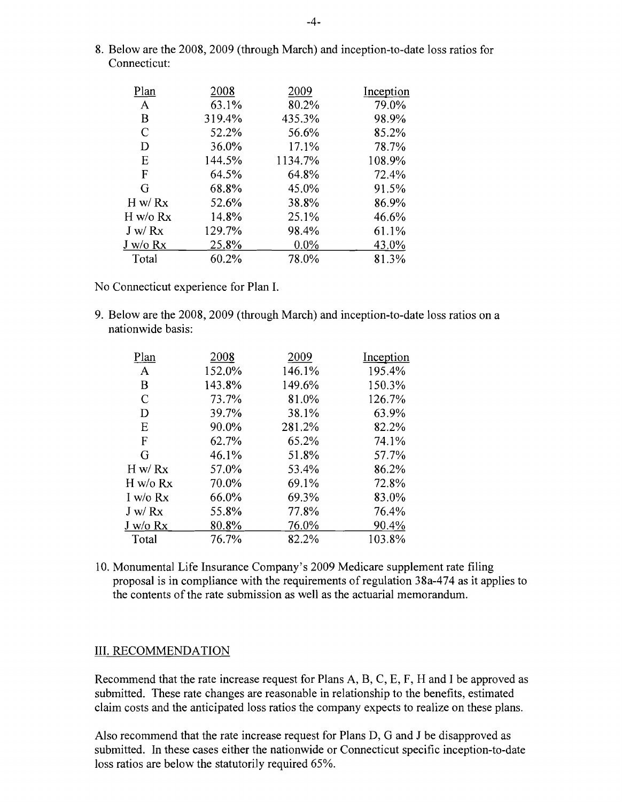8. Below are the 2008, 2009 (through March) and inception-to-date loss ratios for Connecticut:

| Plan          | 2008   | 2009    | Inception |
|---------------|--------|---------|-----------|
| A             | 63.1%  | 80.2%   | 79.0%     |
| B             | 319.4% | 435.3%  | 98.9%     |
| $\mathcal{C}$ | 52.2%  | 56.6%   | 85.2%     |
| D             | 36.0%  | 17.1%   | 78.7%     |
| Ε             | 144.5% | 1134.7% | 108.9%    |
| F             | 64.5%  | 64.8%   | 72.4%     |
| G             | 68.8%  | 45.0%   | 91.5%     |
| H w/Rx        | 52.6%  | 38.8%   | 86.9%     |
| H w/o Rx      | 14.8%  | 25.1%   | 46.6%     |
| J w/Rx        | 129.7% | 98.4%   | 61.1%     |
| $J$ w/o $Rx$  | 25.8%  | $0.0\%$ | 43.0%     |
| Total         | 60.2%  | 78.0%   | 81.3%     |

No Connecticut experience for Plan I.

9. Below are the 2008, 2009 (through March) and inception-to-date loss ratios on a nationwide basis:

| Plan       | 2008   | 2009   | Inception |
|------------|--------|--------|-----------|
| A          | 152.0% | 146.1% | 195.4%    |
| B          | 143.8% | 149.6% | 150.3%    |
| C          | 73.7%  | 81.0%  | 126.7%    |
| D          | 39.7%  | 38.1%  | 63.9%     |
| Ε          | 90.0%  | 281.2% | 82.2%     |
| F          | 62.7%  | 65.2%  | 74.1%     |
| G          | 46.1%  | 51.8%  | 57.7%     |
| H w/Rx     | 57.0%  | 53.4%  | 86.2%     |
| H w/o Rx   | 70.0%  | 69.1%  | 72.8%     |
| I w/o $Rx$ | 66.0%  | 69.3%  | 83.0%     |
| J w/Rx     | 55.8%  | 77.8%  | 76.4%     |
| J w/o Rx   | 80.8%  | 76.0%  | 90.4%     |
| Total      | 76.7%  | 82.2%  | 103.8%    |
|            |        |        |           |

10. Monumental Life Insurance Company's 2009 Medicare supplement rate filing proposal is in compliance with the requirements of regulation 38a-474 as it applies to the contents of the rate submission as well as the actuarial memorandum.

#### III. RECOMMENDATION

Recommend that the rate increase request for Plans A, B, C, E, F, H and I be approved as submitted. These rate changes are reasonable in relationship to the benefits, estimated claim costs and the anticipated loss ratios the company expects to realize on these plans.

Also recommend that the rate increase request for Plans D, G and J be disapproved as submitted. In these cases either the nationwide or Connecticut specific inception-to-date loss ratios are below the statutorily required 65%.